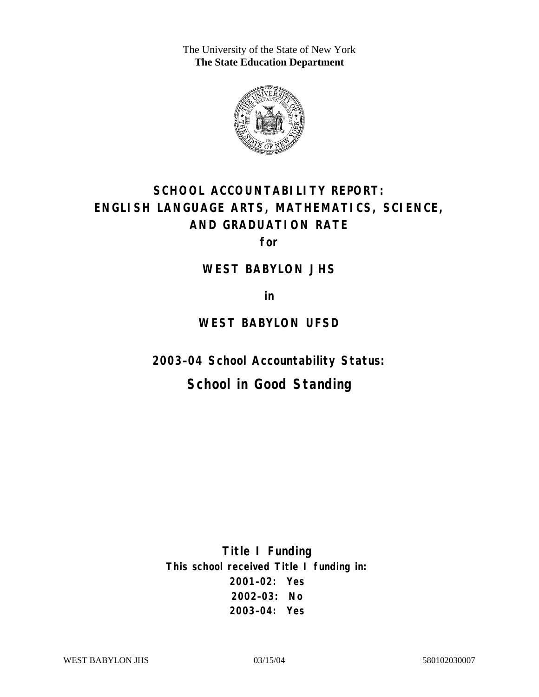The University of the State of New York **The State Education Department** 



# **SCHOOL ACCOUNTABILITY REPORT: ENGLISH LANGUAGE ARTS, MATHEMATICS, SCIENCE, AND GRADUATION RATE**

**for** 

#### **WEST BABYLON JHS**

**in** 

## **WEST BABYLON UFSD**

**2003–04 School Accountability Status:** 

## **School in Good Standing**

**Title I Funding This school received Title I funding in: 2001–02: Yes 2002–03: No 2003–04: Yes**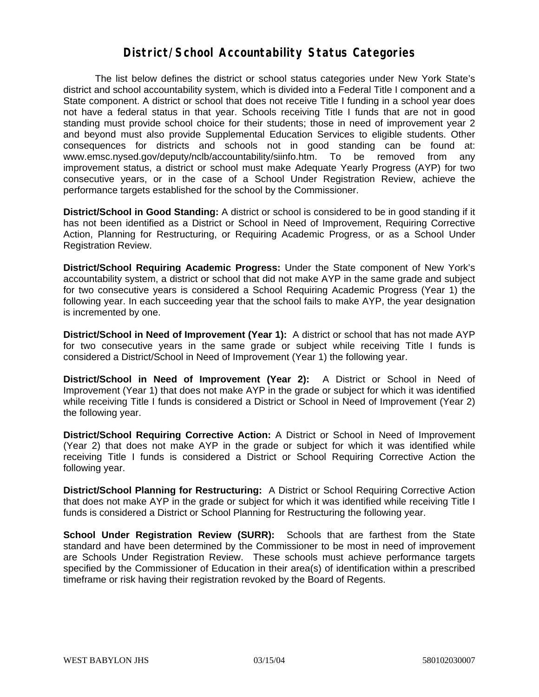### **District/School Accountability Status Categories**

The list below defines the district or school status categories under New York State's district and school accountability system, which is divided into a Federal Title I component and a State component. A district or school that does not receive Title I funding in a school year does not have a federal status in that year. Schools receiving Title I funds that are not in good standing must provide school choice for their students; those in need of improvement year 2 and beyond must also provide Supplemental Education Services to eligible students. Other consequences for districts and schools not in good standing can be found at: www.emsc.nysed.gov/deputy/nclb/accountability/siinfo.htm. To be removed from any improvement status, a district or school must make Adequate Yearly Progress (AYP) for two consecutive years, or in the case of a School Under Registration Review, achieve the performance targets established for the school by the Commissioner.

**District/School in Good Standing:** A district or school is considered to be in good standing if it has not been identified as a District or School in Need of Improvement, Requiring Corrective Action, Planning for Restructuring, or Requiring Academic Progress, or as a School Under Registration Review.

**District/School Requiring Academic Progress:** Under the State component of New York's accountability system, a district or school that did not make AYP in the same grade and subject for two consecutive years is considered a School Requiring Academic Progress (Year 1) the following year. In each succeeding year that the school fails to make AYP, the year designation is incremented by one.

**District/School in Need of Improvement (Year 1):** A district or school that has not made AYP for two consecutive years in the same grade or subject while receiving Title I funds is considered a District/School in Need of Improvement (Year 1) the following year.

**District/School in Need of Improvement (Year 2):** A District or School in Need of Improvement (Year 1) that does not make AYP in the grade or subject for which it was identified while receiving Title I funds is considered a District or School in Need of Improvement (Year 2) the following year.

**District/School Requiring Corrective Action:** A District or School in Need of Improvement (Year 2) that does not make AYP in the grade or subject for which it was identified while receiving Title I funds is considered a District or School Requiring Corrective Action the following year.

**District/School Planning for Restructuring:** A District or School Requiring Corrective Action that does not make AYP in the grade or subject for which it was identified while receiving Title I funds is considered a District or School Planning for Restructuring the following year.

**School Under Registration Review (SURR):** Schools that are farthest from the State standard and have been determined by the Commissioner to be most in need of improvement are Schools Under Registration Review. These schools must achieve performance targets specified by the Commissioner of Education in their area(s) of identification within a prescribed timeframe or risk having their registration revoked by the Board of Regents.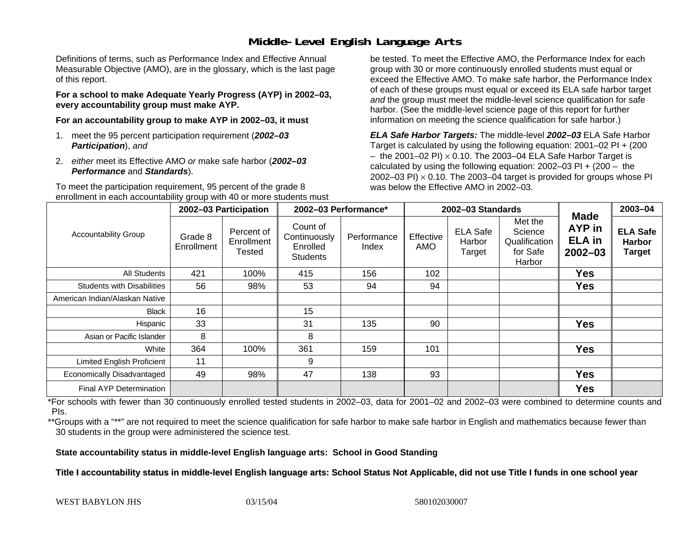## **Middle-Level English Language Arts**

Definitions of terms, such as Performance Index and Effective Annual Measurable Objective (AMO), are in the glossary, which is the last page of this report.

**For a school to make Adequate Yearly Progress (AYP) in 2002–03, every accountability group must make AYP.** 

**For an accountability group to make AYP in 2002–03, it must** 

- 1. meet the 95 percent participation requirement (*2002–03 Participation*), *and*
- 2. *either* meet its Effective AMO *or* make safe harbor (*2002–03 Performance* and *Standards*).

To meet the participation requirement, 95 percent of the grade 8 enrollment in each accountability group with 40 or more students must

be tested. To meet the Effective AMO, the Performance Index for each group with 30 or more continuously enrolled students must equal or exceed the Effective AMO. To make safe harbor, the Performance Index of each of these groups must equal or exceed its ELA safe harbor target *and* the group must meet the middle-level science qualification for safe harbor. (See the middle-level science page of this report for further information on meeting the science qualification for safe harbor.)

*ELA Safe Harbor Targets:* The middle-level *2002–03* ELA Safe Harbor Target is calculated by using the following equation: 2001–02 PI + (200  $-$  the 2001–02 PI)  $\times$  0.10. The 2003–04 ELA Safe Harbor Target is  $\,$ calculated by using the following equation:  $2002-03$  PI +  $(200 -$  the 2002–03 PI)  $\times$  0.10. The 2003–04 target is provided for groups whose PI was below the Effective AMO in 2002–03.

| <b>Accountability Group</b>       | 2002-03 Participation |                                    | 2002-03 Performance*                                    |                      | 2002-03 Standards       |                                     |                                                           |                                                              | 2003-04                                           |
|-----------------------------------|-----------------------|------------------------------------|---------------------------------------------------------|----------------------|-------------------------|-------------------------------------|-----------------------------------------------------------|--------------------------------------------------------------|---------------------------------------------------|
|                                   | Grade 8<br>Enrollment | Percent of<br>Enrollment<br>Tested | Count of<br>Continuously<br>Enrolled<br><b>Students</b> | Performance<br>Index | Effective<br><b>AMO</b> | <b>ELA Safe</b><br>Harbor<br>Target | Met the<br>Science<br>Qualification<br>for Safe<br>Harbor | <b>Made</b><br><b>AYP</b> in<br><b>ELA in</b><br>$2002 - 03$ | <b>ELA Safe</b><br><b>Harbor</b><br><b>Target</b> |
| All Students                      | 421                   | 100%                               | 415                                                     | 156                  | 102                     |                                     |                                                           | <b>Yes</b>                                                   |                                                   |
| <b>Students with Disabilities</b> | 56                    | 98%                                | 53                                                      | 94                   | 94                      |                                     |                                                           | <b>Yes</b>                                                   |                                                   |
| American Indian/Alaskan Native    |                       |                                    |                                                         |                      |                         |                                     |                                                           |                                                              |                                                   |
| Black                             | 16                    |                                    | 15                                                      |                      |                         |                                     |                                                           |                                                              |                                                   |
| Hispanic                          | 33                    |                                    | 31                                                      | 135                  | 90                      |                                     |                                                           | <b>Yes</b>                                                   |                                                   |
| Asian or Pacific Islander         | 8                     |                                    | 8                                                       |                      |                         |                                     |                                                           |                                                              |                                                   |
| White                             | 364                   | 100%                               | 361                                                     | 159                  | 101                     |                                     |                                                           | <b>Yes</b>                                                   |                                                   |
| <b>Limited English Proficient</b> | 11                    |                                    | 9                                                       |                      |                         |                                     |                                                           |                                                              |                                                   |
| Economically Disadvantaged        | 49                    | 98%                                | 47                                                      | 138                  | 93                      |                                     |                                                           | <b>Yes</b>                                                   |                                                   |
| <b>Final AYP Determination</b>    |                       |                                    |                                                         |                      |                         |                                     |                                                           | <b>Yes</b>                                                   |                                                   |

\*For schools with fewer than 30 continuously enrolled tested students in 2002–03, data for 2001–02 and 2002–03 were combined to determine counts and PIs.

\*\*Groups with a "\*\*" are not required to meet the science qualification for safe harbor to make safe harbor in English and mathematics because fewer than 30 students in the group were administered the science test.

**State accountability status in middle-level English language arts: School in Good Standing** 

Title I accountability status in middle-level English language arts: School Status Not Applicable, did not use Title I funds in one school year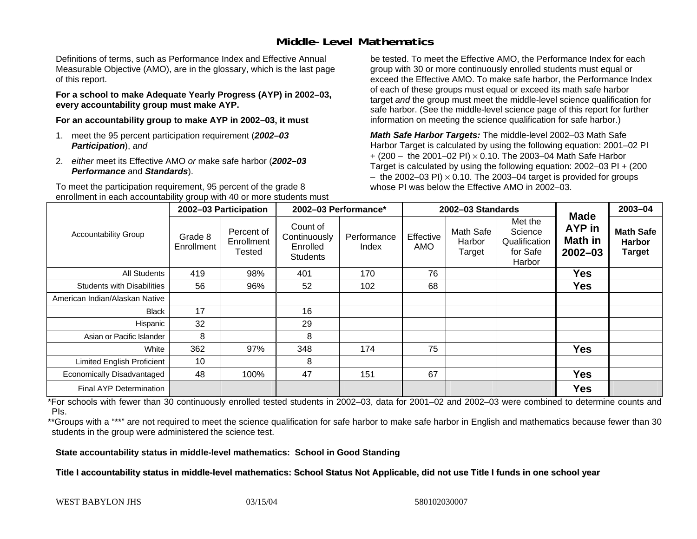## **Middle-Level Mathematics**

Definitions of terms, such as Performance Index and Effective Annual Measurable Objective (AMO), are in the glossary, which is the last page of this report.

**For a school to make Adequate Yearly Progress (AYP) in 2002–03, every accountability group must make AYP.** 

**For an accountability group to make AYP in 2002–03, it must** 

- 1. meet the 95 percent participation requirement (*2002–03 Participation*), *and*
- 2. *either* meet its Effective AMO *or* make safe harbor (*2002–03 Performance* and *Standards*).

To meet the participation requirement, 95 percent of the grade 8 enrollment in each accountability group with 40 or more students must

be tested. To meet the Effective AMO, the Performance Index for each group with 30 or more continuously enrolled students must equal or exceed the Effective AMO. To make safe harbor, the Performance Index of each of these groups must equal or exceed its math safe harbor target *and* the group must meet the middle-level science qualification for safe harbor. (See the middle-level science page of this report for further information on meeting the science qualification for safe harbor.)

*Math Safe Harbor Targets:* The middle-level 2002–03 Math Safe Harbor Target is calculated by using the following equation: 2001–02 PI + (200 – the 2001–02 PI) × 0.10. The 2003–04 Math Safe Harbor Target is calculated by using the following equation: 2002–03 PI + (200  $-$  the 2002–03 PI)  $\times$  0.10. The 2003–04 target is provided for groups whose PI was below the Effective AMO in 2002–03

| <b>Accountability Group</b>       | 2002-03 Participation |                                    | 2002-03 Performance*                                    |                      | 2002-03 Standards |                               |                                                           |                                                        | 2003-04                                            |
|-----------------------------------|-----------------------|------------------------------------|---------------------------------------------------------|----------------------|-------------------|-------------------------------|-----------------------------------------------------------|--------------------------------------------------------|----------------------------------------------------|
|                                   | Grade 8<br>Enrollment | Percent of<br>Enrollment<br>Tested | Count of<br>Continuously<br>Enrolled<br><b>Students</b> | Performance<br>Index | Effective<br>AMO  | Math Safe<br>Harbor<br>Target | Met the<br>Science<br>Qualification<br>for Safe<br>Harbor | <b>Made</b><br><b>AYP</b> in<br>Math in<br>$2002 - 03$ | <b>Math Safe</b><br><b>Harbor</b><br><b>Target</b> |
| <b>All Students</b>               | 419                   | 98%                                | 401                                                     | 170                  | 76                |                               |                                                           | <b>Yes</b>                                             |                                                    |
| <b>Students with Disabilities</b> | 56                    | 96%                                | 52                                                      | 102                  | 68                |                               |                                                           | <b>Yes</b>                                             |                                                    |
| American Indian/Alaskan Native    |                       |                                    |                                                         |                      |                   |                               |                                                           |                                                        |                                                    |
| <b>Black</b>                      | 17                    |                                    | 16                                                      |                      |                   |                               |                                                           |                                                        |                                                    |
| Hispanic                          | 32                    |                                    | 29                                                      |                      |                   |                               |                                                           |                                                        |                                                    |
| Asian or Pacific Islander         | 8                     |                                    | 8                                                       |                      |                   |                               |                                                           |                                                        |                                                    |
| White                             | 362                   | 97%                                | 348                                                     | 174                  | 75                |                               |                                                           | <b>Yes</b>                                             |                                                    |
| <b>Limited English Proficient</b> | 10                    |                                    | 8                                                       |                      |                   |                               |                                                           |                                                        |                                                    |
| Economically Disadvantaged        | 48                    | 100%                               | 47                                                      | 151                  | 67                |                               |                                                           | <b>Yes</b>                                             |                                                    |
| Final AYP Determination           |                       |                                    |                                                         |                      |                   |                               |                                                           | <b>Yes</b>                                             |                                                    |

\*For schools with fewer than 30 continuously enrolled tested students in 2002–03, data for 2001–02 and 2002–03 were combined to determine counts and PIs.

\*\*Groups with a "\*\*" are not required to meet the science qualification for safe harbor to make safe harbor in English and mathematics because fewer than 30 students in the group were administered the science test.

**State accountability status in middle-level mathematics: School in Good Standing** 

Title I accountability status in middle-level mathematics: School Status Not Applicable, did not use Title I funds in one school year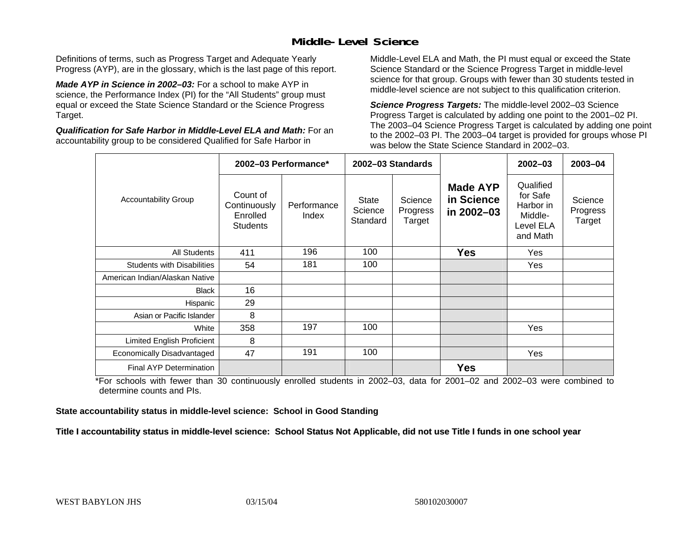## **Middle-Level Science**

Definitions of terms, such as Progress Target and Adequate Yearly Progress (AYP), are in the glossary, which is the last page of this report.

*Made AYP in Science in 2002–03:* For a school to make AYP in science, the Performance Index (PI) for the "All Students" group must equal or exceed the State Science Standard or the Science Progress Target.

*Qualification for Safe Harbor in Middle-Level ELA and Math:* For an accountability group to be considered Qualified for Safe Harbor in

Middle-Level ELA and Math, the PI must equal or exceed the State Science Standard or the Science Progress Target in middle-level science for that group. Groups with fewer than 30 students tested in middle-level science are not subject to this qualification criterion.

*Science Progress Targets:* The middle-level 2002–03 Science Progress Target is calculated by adding one point to the 2001–02 PI. The 2003–04 Science Progress Target is calculated by adding one point to the 2002–03 PI. The 2003–04 target is provided for groups whose PI was below the State Science Standard in 2002–03.

|                                   |                                                         | 2002-03 Performance* |                              | 2002-03 Standards             |                                             | $2002 - 03$                                                            | $2003 - 04$                   |
|-----------------------------------|---------------------------------------------------------|----------------------|------------------------------|-------------------------------|---------------------------------------------|------------------------------------------------------------------------|-------------------------------|
| <b>Accountability Group</b>       | Count of<br>Continuously<br>Enrolled<br><b>Students</b> | Performance<br>Index | State<br>Science<br>Standard | Science<br>Progress<br>Target | <b>Made AYP</b><br>in Science<br>in 2002-03 | Qualified<br>for Safe<br>Harbor in<br>Middle-<br>Level ELA<br>and Math | Science<br>Progress<br>Target |
| <b>All Students</b>               | 411                                                     | 196                  | 100                          |                               | <b>Yes</b>                                  | Yes                                                                    |                               |
| <b>Students with Disabilities</b> | 54                                                      | 181                  | 100                          |                               |                                             | Yes                                                                    |                               |
| American Indian/Alaskan Native    |                                                         |                      |                              |                               |                                             |                                                                        |                               |
| <b>Black</b>                      | 16                                                      |                      |                              |                               |                                             |                                                                        |                               |
| Hispanic                          | 29                                                      |                      |                              |                               |                                             |                                                                        |                               |
| Asian or Pacific Islander         | 8                                                       |                      |                              |                               |                                             |                                                                        |                               |
| White                             | 358                                                     | 197                  | 100                          |                               |                                             | Yes                                                                    |                               |
| Limited English Proficient        | 8                                                       |                      |                              |                               |                                             |                                                                        |                               |
| Economically Disadvantaged        | 47                                                      | 191                  | 100                          |                               |                                             | <b>Yes</b>                                                             |                               |
| Final AYP Determination           |                                                         |                      |                              |                               | <b>Yes</b>                                  |                                                                        |                               |

\*For schools with fewer than 30 continuously enrolled students in 2002–03, data for 2001–02 and 2002–03 were combined to determine counts and PIs.

**State accountability status in middle-level science: School in Good Standing** 

Title I accountability status in middle-level science: School Status Not Applicable, did not use Title I funds in one school year